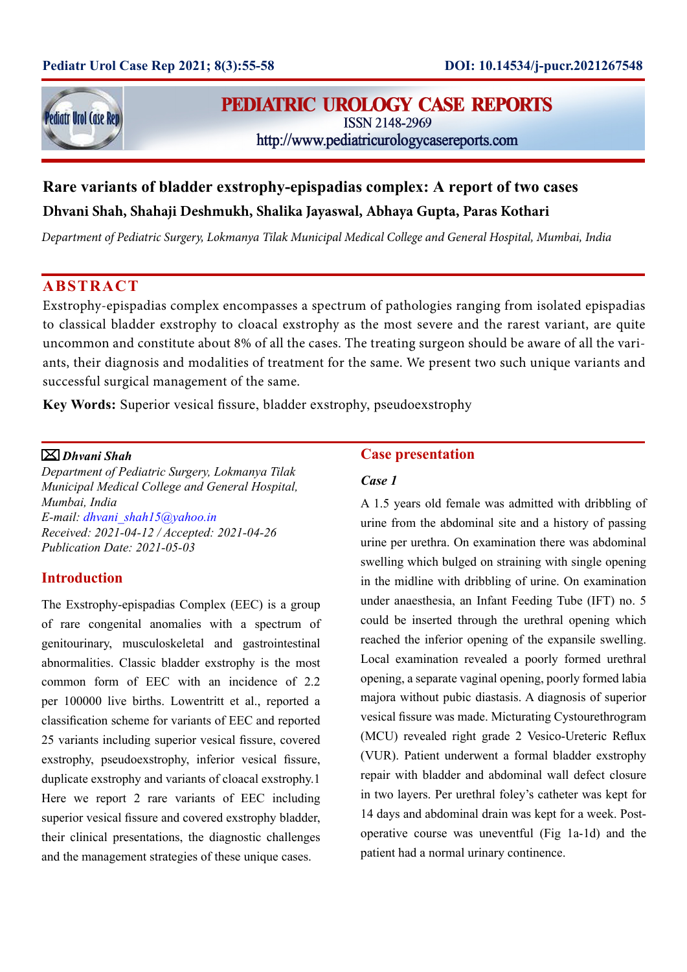

## PEDIATRIC UROLOGY CASE REPORTS

**ISSN 2148-2969** 

http://www.pediatricurologycasereports.com

# **Rare variants of bladder exstrophy-epispadias complex: A report of two cases Dhvani Shah, Shahaji Deshmukh, Shalika Jayaswal, Abhaya Gupta, Paras Kothari**

*Department of Pediatric Surgery, Lokmanya Tilak Municipal Medical College and General Hospital, Mumbai, India*

### **ABSTRACT**

Exstrophy-epispadias complex encompasses a spectrum of pathologies ranging from isolated epispadias to classical bladder exstrophy to cloacal exstrophy as the most severe and the rarest variant, are quite uncommon and constitute about 8% of all the cases. The treating surgeon should be aware of all the variants, their diagnosis and modalities of treatment for the same. We present two such unique variants and successful surgical management of the same.

**Key Words:** Superior vesical fissure, bladder exstrophy, pseudoexstrophy

#### *Dhvani Shah*

*Department of Pediatric Surgery, Lokmanya Tilak Municipal Medical College and General Hospital, Mumbai, India E-mail: dhvani\_shah15@yahoo.in Received: 2021-04-12 / Accepted: 2021-04-26 Publication Date: 2021-05-03*

#### **Introduction**

The Exstrophy-epispadias Complex (EEC) is a group of rare congenital anomalies with a spectrum of genitourinary, musculoskeletal and gastrointestinal abnormalities. Classic bladder exstrophy is the most common form of EEC with an incidence of 2.2 per 100000 live births. Lowentritt et al., reported a classification scheme for variants of EEC and reported 25 variants including superior vesical fissure, covered exstrophy, pseudoexstrophy, inferior vesical fissure, duplicate exstrophy and variants of cloacal exstrophy.1 Here we report 2 rare variants of EEC including superior vesical fissure and covered exstrophy bladder, their clinical presentations, the diagnostic challenges and the management strategies of these unique cases.

#### **Case presentation**

#### *Case 1*

A 1.5 years old female was admitted with dribbling of urine from the abdominal site and a history of passing urine per urethra. On examination there was abdominal swelling which bulged on straining with single opening in the midline with dribbling of urine. On examination under anaesthesia, an Infant Feeding Tube (IFT) no. 5 could be inserted through the urethral opening which reached the inferior opening of the expansile swelling. Local examination revealed a poorly formed urethral opening, a separate vaginal opening, poorly formed labia majora without pubic diastasis. A diagnosis of superior vesical fissure was made. Micturating Cystourethrogram (MCU) revealed right grade 2 Vesico-Ureteric Reflux (VUR). Patient underwent a formal bladder exstrophy repair with bladder and abdominal wall defect closure in two layers. Per urethral foley's catheter was kept for 14 days and abdominal drain was kept for a week. Postoperative course was uneventful (Fig 1a-1d) and the patient had a normal urinary continence.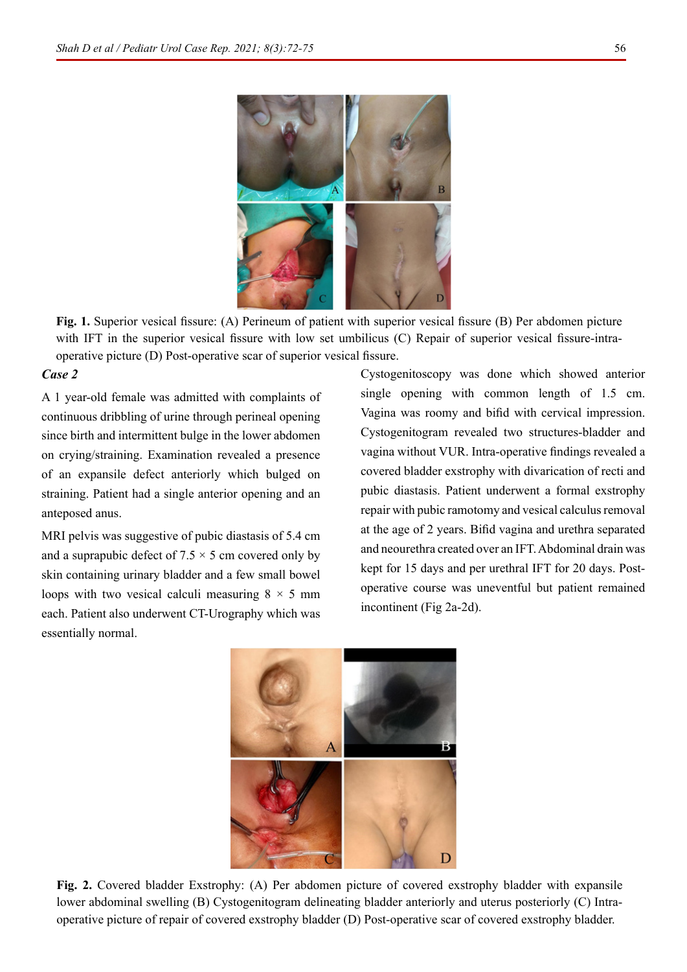

**Fig. 1.** Superior vesical fissure: (A) Perineum of patient with superior vesical fissure (B) Per abdomen picture with IFT in the superior vesical fissure with low set umbilicus (C) Repair of superior vesical fissure-intraoperative picture (D) Post-operative scar of superior vesical fissure.

#### *Case 2*

A 1 year-old female was admitted with complaints of continuous dribbling of urine through perineal opening since birth and intermittent bulge in the lower abdomen on crying/straining. Examination revealed a presence of an expansile defect anteriorly which bulged on straining. Patient had a single anterior opening and an anteposed anus.

MRI pelvis was suggestive of pubic diastasis of 5.4 cm and a suprapubic defect of  $7.5 \times 5$  cm covered only by skin containing urinary bladder and a few small bowel loops with two vesical calculi measuring  $8 \times 5$  mm each. Patient also underwent CT-Urography which was essentially normal.

Cystogenitoscopy was done which showed anterior single opening with common length of 1.5 cm. Vagina was roomy and bifid with cervical impression. Cystogenitogram revealed two structures-bladder and vagina without VUR. Intra-operative findings revealed a covered bladder exstrophy with divarication of recti and pubic diastasis. Patient underwent a formal exstrophy repair with pubic ramotomy and vesical calculus removal at the age of 2 years. Bifid vagina and urethra separated and neourethra created over an IFT. Abdominal drain was kept for 15 days and per urethral IFT for 20 days. Postoperative course was uneventful but patient remained incontinent (Fig 2a-2d).



**Fig. 2.** Covered bladder Exstrophy: (A) Per abdomen picture of covered exstrophy bladder with expansile lower abdominal swelling (B) Cystogenitogram delineating bladder anteriorly and uterus posteriorly (C) Intraoperative picture of repair of covered exstrophy bladder (D) Post-operative scar of covered exstrophy bladder.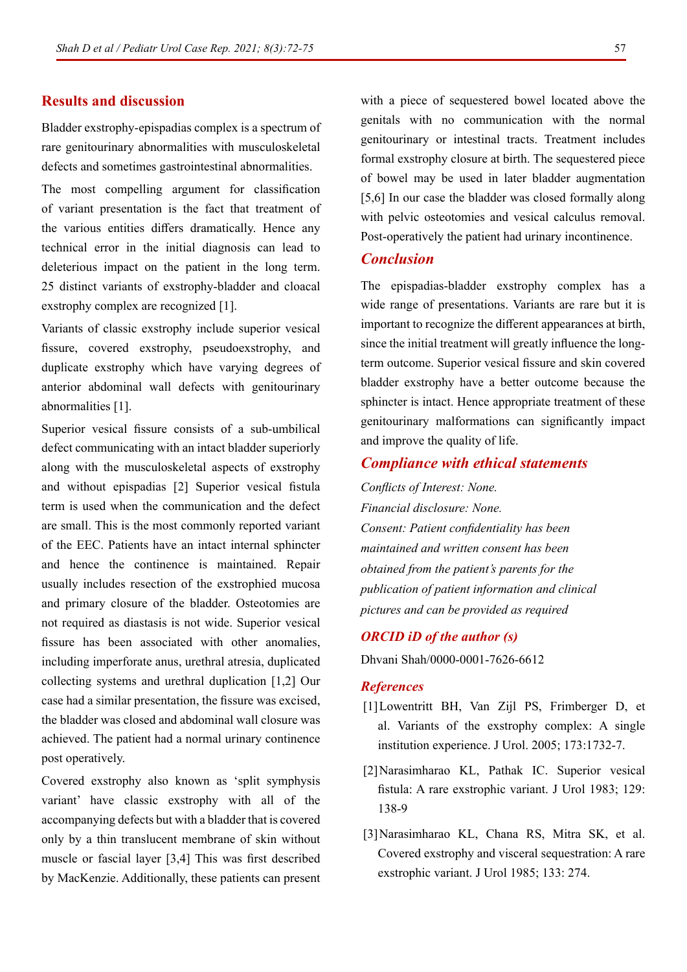#### **Results and discussion**

Bladder exstrophy-epispadias complex is a spectrum of rare genitourinary abnormalities with musculoskeletal defects and sometimes gastrointestinal abnormalities.

The most compelling argument for classification of variant presentation is the fact that treatment of the various entities differs dramatically. Hence any technical error in the initial diagnosis can lead to deleterious impact on the patient in the long term. 25 distinct variants of exstrophy-bladder and cloacal exstrophy complex are recognized [1].

Variants of classic exstrophy include superior vesical fissure, covered exstrophy, pseudoexstrophy, and duplicate exstrophy which have varying degrees of anterior abdominal wall defects with genitourinary abnormalities [1].

Superior vesical fissure consists of a sub-umbilical defect communicating with an intact bladder superiorly along with the musculoskeletal aspects of exstrophy and without epispadias [2] Superior vesical fistula term is used when the communication and the defect are small. This is the most commonly reported variant of the EEC. Patients have an intact internal sphincter and hence the continence is maintained. Repair usually includes resection of the exstrophied mucosa and primary closure of the bladder. Osteotomies are not required as diastasis is not wide. Superior vesical fissure has been associated with other anomalies, including imperforate anus, urethral atresia, duplicated collecting systems and urethral duplication [1,2] Our case had a similar presentation, the fissure was excised, the bladder was closed and abdominal wall closure was achieved. The patient had a normal urinary continence post operatively.

Covered exstrophy also known as 'split symphysis variant' have classic exstrophy with all of the accompanying defects but with a bladder that is covered only by a thin translucent membrane of skin without muscle or fascial layer [3,4] This was first described by MacKenzie. Additionally, these patients can present

with a piece of sequestered bowel located above the genitals with no communication with the normal genitourinary or intestinal tracts. Treatment includes formal exstrophy closure at birth. The sequestered piece of bowel may be used in later bladder augmentation [5,6] In our case the bladder was closed formally along with pelvic osteotomies and vesical calculus removal. Post-operatively the patient had urinary incontinence.

#### *Conclusion*

The epispadias-bladder exstrophy complex has a wide range of presentations. Variants are rare but it is important to recognize the different appearances at birth, since the initial treatment will greatly influence the longterm outcome. Superior vesical fissure and skin covered bladder exstrophy have a better outcome because the sphincter is intact. Hence appropriate treatment of these genitourinary malformations can significantly impact and improve the quality of life.

#### *Compliance with ethical statements*

*Conflicts of Interest: None. Financial disclosure: None. Consent: Patient confidentiality has been maintained and written consent has been obtained from the patient's parents for the publication of patient information and clinical pictures and can be provided as required*

#### *ORCID iD of the author (s)*

Dhvani Shah/0000-0001-7626-6612

#### *References*

- [1]Lowentritt BH, Van Zijl PS, Frimberger D, et [al. Variants of the exstrophy complex: A single](https://doi.org/10.1097/01.ju.0000154353.03056.5c)  institution experience. J Urol. 2005; 173:1732-7.
- [\[2\]Narasimharao KL, Pathak IC. Superior vesical](https://doi.org/10.1016/s0022-5347(17)51961-8)  fistula: A rare exstrophic variant. J Urol 1983; 129: 138-9
- [\[3\]Narasimharao KL, Chana RS, Mitra SK, et al.](https://doi.org/10.1016/s0022-5347(17)48915-4)  Covered exstrophy and visceral sequestration: A rare exstrophic variant. J Urol 1985; 133: 274.